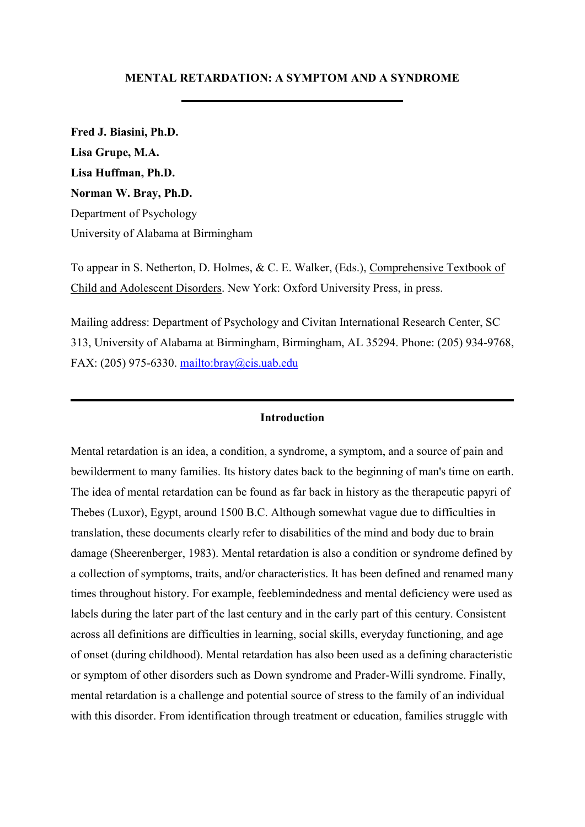## **MENTAL RETARDATION: A SYMPTOM AND A SYNDROME**

**Fred J. Biasini, Ph.D. Lisa Grupe, M.A. Lisa Huffman, Ph.D. Norman W. Bray, Ph.D.** Department of Psychology University of Alabama at Birmingham

To appear in S. Netherton, D. Holmes, & C. E. Walker, (Eds.), Comprehensive Textbook of Child and Adolescent Disorders. New York: Oxford University Press, in press.

Mailing address: Department of Psychology and Civitan International Research Center, SC 313, University of Alabama at Birmingham, Birmingham, AL 35294. Phone: (205) 934-9768, FAX: (205) 975-6330. <mailto:bray@cis.uab.edu>

## **Introduction**

Mental retardation is an idea, a condition, a syndrome, a symptom, and a source of pain and bewilderment to many families. Its history dates back to the beginning of man's time on earth. The idea of mental retardation can be found as far back in history as the therapeutic papyri of Thebes (Luxor), Egypt, around 1500 B.C. Although somewhat vague due to difficulties in translation, these documents clearly refer to disabilities of the mind and body due to brain damage (Sheerenberger, 1983). Mental retardation is also a condition or syndrome defined by a collection of symptoms, traits, and/or characteristics. It has been defined and renamed many times throughout history. For example, feeblemindedness and mental deficiency were used as labels during the later part of the last century and in the early part of this century. Consistent across all definitions are difficulties in learning, social skills, everyday functioning, and age of onset (during childhood). Mental retardation has also been used as a defining characteristic or symptom of other disorders such as Down syndrome and Prader-Willi syndrome. Finally, mental retardation is a challenge and potential source of stress to the family of an individual with this disorder. From identification through treatment or education, families struggle with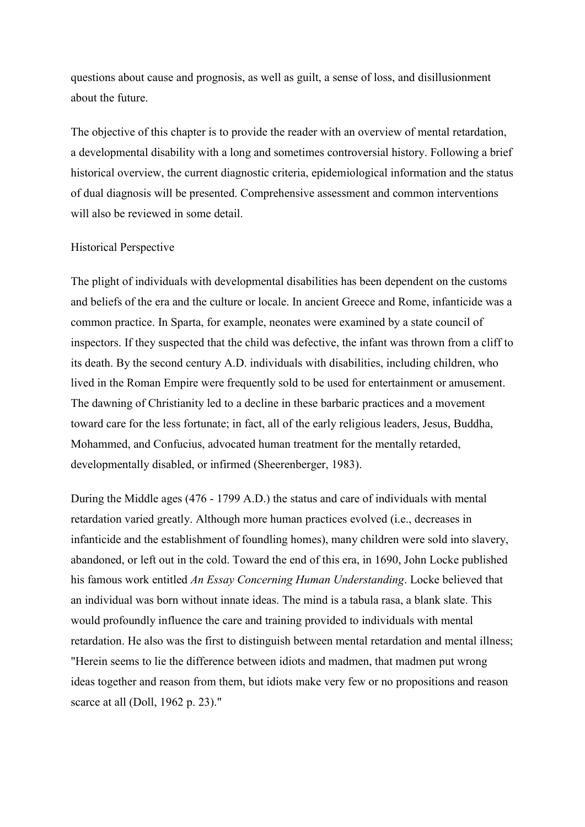questions about cause and prognosis, as well as guilt, a sense of loss, and disillusionment about the future.

The objective of this chapter is to provide the reader with an overview of mental retardation, a developmental disability with a long and sometimes controversial history. Following a brief historical overview, the current diagnostic criteria, epidemiological information and the status of dual diagnosis will be presented. Comprehensive assessment and common interventions will also be reviewed in some detail.

## Historical Perspective

The plight of individuals with developmental disabilities has been dependent on the customs and beliefs of the era and the culture or locale. In ancient Greece and Rome, infanticide was a common practice. In Sparta, for example, neonates were examined by a state council of inspectors. If they suspected that the child was defective, the infant was thrown from a cliff to its death. By the second century A.D. individuals with disabilities, including children, who lived in the Roman Empire were frequently sold to be used for entertainment or amusement. The dawning of Christianity led to a decline in these barbaric practices and a movement toward care for the less fortunate; in fact, all of the early religious leaders, Jesus, Buddha, Mohammed, and Confucius, advocated human treatment for the mentally retarded, developmentally disabled, or infirmed (Sheerenberger, 1983).

During the Middle ages (476 - 1799 A.D.) the status and care of individuals with mental retardation varied greatly. Although more human practices evolved (i.e., decreases in infanticide and the establishment of foundling homes), many children were sold into slavery, abandoned, or left out in the cold. Toward the end of this era, in 1690, John Locke published his famous work entitled *An Essay Concerning Human Understanding*. Locke believed that an individual was born without innate ideas. The mind is a tabula rasa, a blank slate. This would profoundly influence the care and training provided to individuals with mental retardation. He also was the first to distinguish between mental retardation and mental illness; "Herein seems to lie the difference between idiots and madmen, that madmen put wrong ideas together and reason from them, but idiots make very few or no propositions and reason scarce at all (Doll, 1962 p. 23)."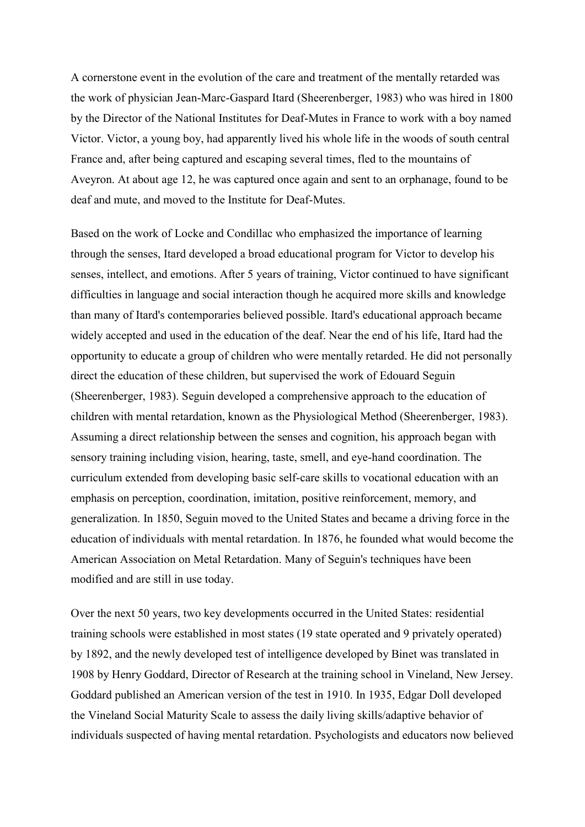A cornerstone event in the evolution of the care and treatment of the mentally retarded was the work of physician Jean-Marc-Gaspard Itard (Sheerenberger, 1983) who was hired in 1800 by the Director of the National Institutes for Deaf-Mutes in France to work with a boy named Victor. Victor, a young boy, had apparently lived his whole life in the woods of south central France and, after being captured and escaping several times, fled to the mountains of Aveyron. At about age 12, he was captured once again and sent to an orphanage, found to be deaf and mute, and moved to the Institute for Deaf-Mutes.

Based on the work of Locke and Condillac who emphasized the importance of learning through the senses, Itard developed a broad educational program for Victor to develop his senses, intellect, and emotions. After 5 years of training, Victor continued to have significant difficulties in language and social interaction though he acquired more skills and knowledge than many of Itard's contemporaries believed possible. Itard's educational approach became widely accepted and used in the education of the deaf. Near the end of his life, Itard had the opportunity to educate a group of children who were mentally retarded. He did not personally direct the education of these children, but supervised the work of Edouard Seguin (Sheerenberger, 1983). Seguin developed a comprehensive approach to the education of children with mental retardation, known as the Physiological Method (Sheerenberger, 1983). Assuming a direct relationship between the senses and cognition, his approach began with sensory training including vision, hearing, taste, smell, and eye-hand coordination. The curriculum extended from developing basic self-care skills to vocational education with an emphasis on perception, coordination, imitation, positive reinforcement, memory, and generalization. In 1850, Seguin moved to the United States and became a driving force in the education of individuals with mental retardation. In 1876, he founded what would become the American Association on Metal Retardation. Many of Seguin's techniques have been modified and are still in use today.

Over the next 50 years, two key developments occurred in the United States: residential training schools were established in most states (19 state operated and 9 privately operated) by 1892, and the newly developed test of intelligence developed by Binet was translated in 1908 by Henry Goddard, Director of Research at the training school in Vineland, New Jersey. Goddard published an American version of the test in 1910. In 1935, Edgar Doll developed the Vineland Social Maturity Scale to assess the daily living skills/adaptive behavior of individuals suspected of having mental retardation. Psychologists and educators now believed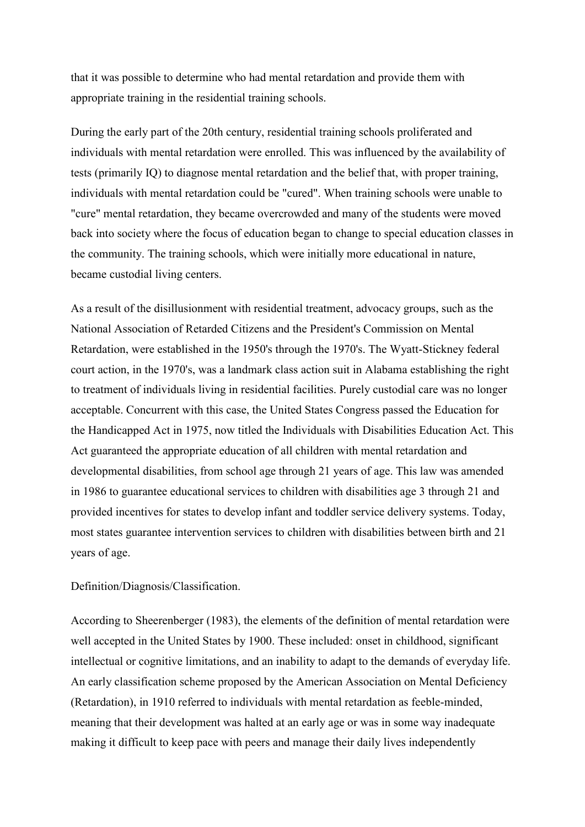that it was possible to determine who had mental retardation and provide them with appropriate training in the residential training schools.

During the early part of the 20th century, residential training schools proliferated and individuals with mental retardation were enrolled. This was influenced by the availability of tests (primarily IQ) to diagnose mental retardation and the belief that, with proper training, individuals with mental retardation could be "cured". When training schools were unable to "cure" mental retardation, they became overcrowded and many of the students were moved back into society where the focus of education began to change to special education classes in the community. The training schools, which were initially more educational in nature, became custodial living centers.

As a result of the disillusionment with residential treatment, advocacy groups, such as the National Association of Retarded Citizens and the President's Commission on Mental Retardation, were established in the 1950's through the 1970's. The Wyatt-Stickney federal court action, in the 1970's, was a landmark class action suit in Alabama establishing the right to treatment of individuals living in residential facilities. Purely custodial care was no longer acceptable. Concurrent with this case, the United States Congress passed the Education for the Handicapped Act in 1975, now titled the Individuals with Disabilities Education Act. This Act guaranteed the appropriate education of all children with mental retardation and developmental disabilities, from school age through 21 years of age. This law was amended in 1986 to guarantee educational services to children with disabilities age 3 through 21 and provided incentives for states to develop infant and toddler service delivery systems. Today, most states guarantee intervention services to children with disabilities between birth and 21 years of age.

Definition/Diagnosis/Classification.

According to Sheerenberger (1983), the elements of the definition of mental retardation were well accepted in the United States by 1900. These included: onset in childhood, significant intellectual or cognitive limitations, and an inability to adapt to the demands of everyday life. An early classification scheme proposed by the American Association on Mental Deficiency (Retardation), in 1910 referred to individuals with mental retardation as feeble-minded, meaning that their development was halted at an early age or was in some way inadequate making it difficult to keep pace with peers and manage their daily lives independently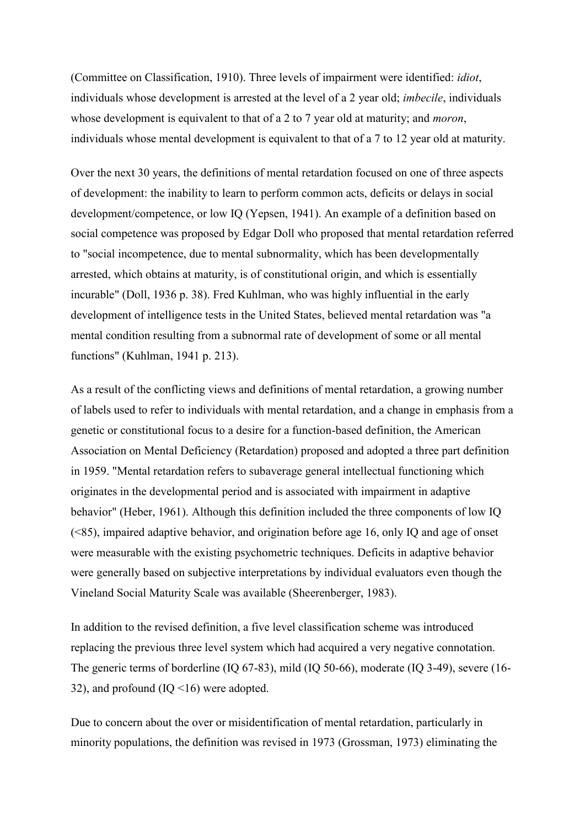(Committee on Classification, 1910). Three levels of impairment were identified: *idiot*, individuals whose development is arrested at the level of a 2 year old; *imbecile*, individuals whose development is equivalent to that of a 2 to 7 year old at maturity; and *moron*, individuals whose mental development is equivalent to that of a 7 to 12 year old at maturity.

Over the next 30 years, the definitions of mental retardation focused on one of three aspects of development: the inability to learn to perform common acts, deficits or delays in social development/competence, or low IQ (Yepsen, 1941). An example of a definition based on social competence was proposed by Edgar Doll who proposed that mental retardation referred to "social incompetence, due to mental subnormality, which has been developmentally arrested, which obtains at maturity, is of constitutional origin, and which is essentially incurable" (Doll, 1936 p. 38). Fred Kuhlman, who was highly influential in the early development of intelligence tests in the United States, believed mental retardation was "a mental condition resulting from a subnormal rate of development of some or all mental functions" (Kuhlman, 1941 p. 213).

As a result of the conflicting views and definitions of mental retardation, a growing number of labels used to refer to individuals with mental retardation, and a change in emphasis from a genetic or constitutional focus to a desire for a function-based definition, the American Association on Mental Deficiency (Retardation) proposed and adopted a three part definition in 1959. "Mental retardation refers to subaverage general intellectual functioning which originates in the developmental period and is associated with impairment in adaptive behavior" (Heber, 1961). Although this definition included the three components of low IQ (<85), impaired adaptive behavior, and origination before age 16, only IQ and age of onset were measurable with the existing psychometric techniques. Deficits in adaptive behavior were generally based on subjective interpretations by individual evaluators even though the Vineland Social Maturity Scale was available (Sheerenberger, 1983).

In addition to the revised definition, a five level classification scheme was introduced replacing the previous three level system which had acquired a very negative connotation. The generic terms of borderline (IQ 67-83), mild (IQ 50-66), moderate (IQ 3-49), severe (16- 32), and profound (IQ <16) were adopted.

Due to concern about the over or misidentification of mental retardation, particularly in minority populations, the definition was revised in 1973 (Grossman, 1973) eliminating the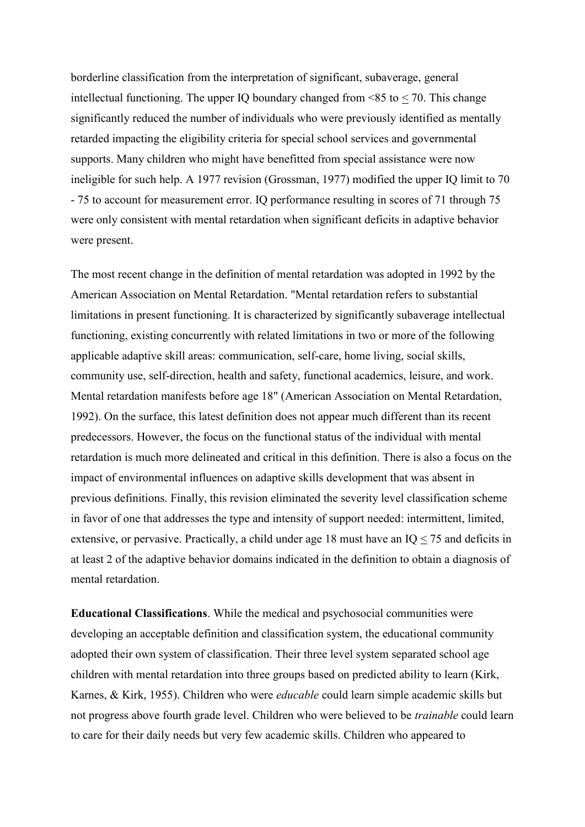borderline classification from the interpretation of significant, subaverage, general intellectual functioning. The upper IQ boundary changed from  $\leq 85$  to  $\leq 70$ . This change significantly reduced the number of individuals who were previously identified as mentally retarded impacting the eligibility criteria for special school services and governmental supports. Many children who might have benefitted from special assistance were now ineligible for such help. A 1977 revision (Grossman, 1977) modified the upper IQ limit to 70 - 75 to account for measurement error. IQ performance resulting in scores of 71 through 75 were only consistent with mental retardation when significant deficits in adaptive behavior were present.

The most recent change in the definition of mental retardation was adopted in 1992 by the American Association on Mental Retardation. "Mental retardation refers to substantial limitations in present functioning. It is characterized by significantly subaverage intellectual functioning, existing concurrently with related limitations in two or more of the following applicable adaptive skill areas: communication, self-care, home living, social skills, community use, self-direction, health and safety, functional academics, leisure, and work. Mental retardation manifests before age 18" (American Association on Mental Retardation, 1992). On the surface, this latest definition does not appear much different than its recent predecessors. However, the focus on the functional status of the individual with mental retardation is much more delineated and critical in this definition. There is also a focus on the impact of environmental influences on adaptive skills development that was absent in previous definitions. Finally, this revision eliminated the severity level classification scheme in favor of one that addresses the type and intensity of support needed: intermittent, limited, extensive, or pervasive. Practically, a child under age 18 must have an IQ < 75 and deficits in at least 2 of the adaptive behavior domains indicated in the definition to obtain a diagnosis of mental retardation.

**Educational Classifications**. While the medical and psychosocial communities were developing an acceptable definition and classification system, the educational community adopted their own system of classification. Their three level system separated school age children with mental retardation into three groups based on predicted ability to learn (Kirk, Karnes, & Kirk, 1955). Children who were *educable* could learn simple academic skills but not progress above fourth grade level. Children who were believed to be *trainable* could learn to care for their daily needs but very few academic skills. Children who appeared to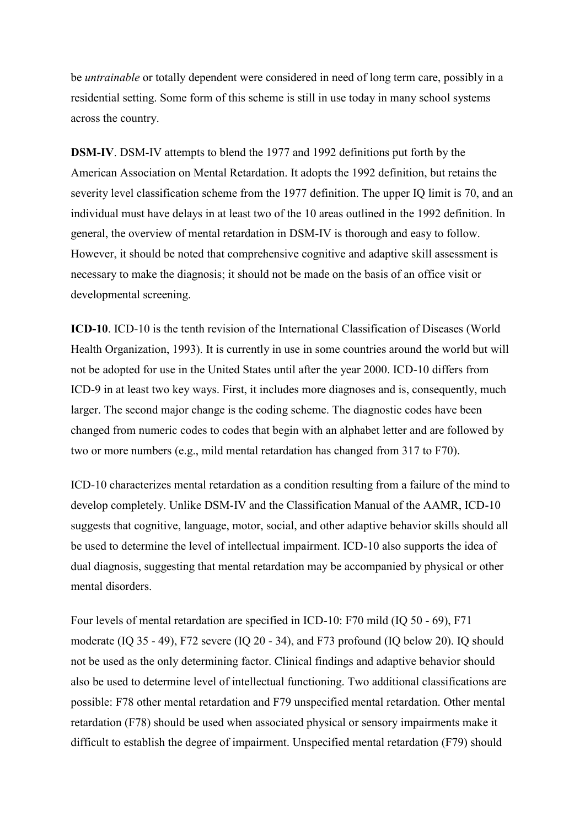be *untrainable* or totally dependent were considered in need of long term care, possibly in a residential setting. Some form of this scheme is still in use today in many school systems across the country.

**DSM-IV**. DSM-IV attempts to blend the 1977 and 1992 definitions put forth by the American Association on Mental Retardation. It adopts the 1992 definition, but retains the severity level classification scheme from the 1977 definition. The upper IQ limit is 70, and an individual must have delays in at least two of the 10 areas outlined in the 1992 definition. In general, the overview of mental retardation in DSM-IV is thorough and easy to follow. However, it should be noted that comprehensive cognitive and adaptive skill assessment is necessary to make the diagnosis; it should not be made on the basis of an office visit or developmental screening.

**ICD-10**. ICD-10 is the tenth revision of the International Classification of Diseases (World Health Organization, 1993). It is currently in use in some countries around the world but will not be adopted for use in the United States until after the year 2000. ICD-10 differs from ICD-9 in at least two key ways. First, it includes more diagnoses and is, consequently, much larger. The second major change is the coding scheme. The diagnostic codes have been changed from numeric codes to codes that begin with an alphabet letter and are followed by two or more numbers (e.g., mild mental retardation has changed from 317 to F70).

ICD-10 characterizes mental retardation as a condition resulting from a failure of the mind to develop completely. Unlike DSM-IV and the Classification Manual of the AAMR, ICD-10 suggests that cognitive, language, motor, social, and other adaptive behavior skills should all be used to determine the level of intellectual impairment. ICD-10 also supports the idea of dual diagnosis, suggesting that mental retardation may be accompanied by physical or other mental disorders.

Four levels of mental retardation are specified in ICD-10: F70 mild (IQ 50 - 69), F71 moderate (IQ 35 - 49), F72 severe (IQ 20 - 34), and F73 profound (IQ below 20). IQ should not be used as the only determining factor. Clinical findings and adaptive behavior should also be used to determine level of intellectual functioning. Two additional classifications are possible: F78 other mental retardation and F79 unspecified mental retardation. Other mental retardation (F78) should be used when associated physical or sensory impairments make it difficult to establish the degree of impairment. Unspecified mental retardation (F79) should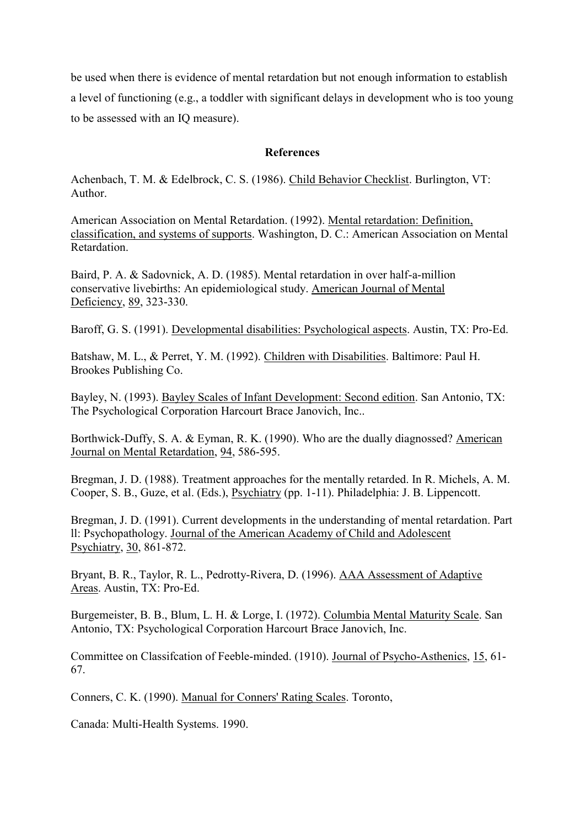be used when there is evidence of mental retardation but not enough information to establish a level of functioning (e.g., a toddler with significant delays in development who is too young to be assessed with an IQ measure).

## **References**

Achenbach, T. M. & Edelbrock, C. S. (1986). Child Behavior Checklist. Burlington, VT: Author.

American Association on Mental Retardation. (1992). Mental retardation: Definition, classification, and systems of supports. Washington, D. C.: American Association on Mental Retardation.

Baird, P. A. & Sadovnick, A. D. (1985). Mental retardation in over half-a-million conservative livebirths: An epidemiological study. American Journal of Mental Deficiency, 89, 323-330.

Baroff, G. S. (1991). Developmental disabilities: Psychological aspects. Austin, TX: Pro-Ed.

Batshaw, M. L., & Perret, Y. M. (1992). Children with Disabilities. Baltimore: Paul H. Brookes Publishing Co.

Bayley, N. (1993). Bayley Scales of Infant Development: Second edition. San Antonio, TX: The Psychological Corporation Harcourt Brace Janovich, Inc..

Borthwick-Duffy, S. A. & Eyman, R. K. (1990). Who are the dually diagnossed? American Journal on Mental Retardation, 94, 586-595.

Bregman, J. D. (1988). Treatment approaches for the mentally retarded. In R. Michels, A. M. Cooper, S. B., Guze, et al. (Eds.), Psychiatry (pp. 1-11). Philadelphia: J. B. Lippencott.

Bregman, J. D. (1991). Current developments in the understanding of mental retardation. Part ll: Psychopathology. Journal of the American Academy of Child and Adolescent Psychiatry, 30, 861-872.

Bryant, B. R., Taylor, R. L., Pedrotty-Rivera, D. (1996). AAA Assessment of Adaptive Areas. Austin, TX: Pro-Ed.

Burgemeister, B. B., Blum, L. H. & Lorge, I. (1972). Columbia Mental Maturity Scale. San Antonio, TX: Psychological Corporation Harcourt Brace Janovich, Inc.

Committee on Classifcation of Feeble-minded. (1910). Journal of Psycho-Asthenics, 15, 61- 67.

Conners, C. K. (1990). Manual for Conners' Rating Scales. Toronto,

Canada: Multi-Health Systems. 1990.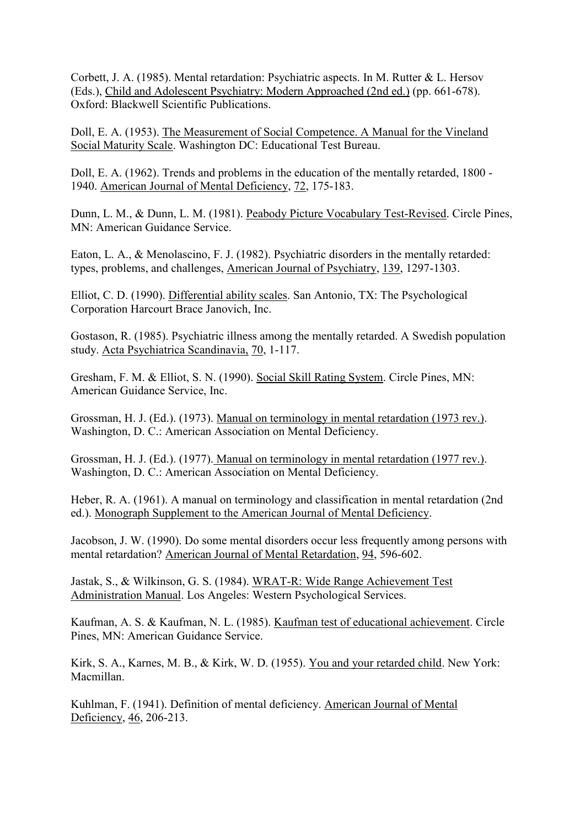Corbett, J. A. (1985). Mental retardation: Psychiatric aspects. In M. Rutter & L. Hersov (Eds.), Child and Adolescent Psychiatry: Modern Approached (2nd ed.) (pp. 661-678). Oxford: Blackwell Scientific Publications.

Doll, E. A. (1953). The Measurement of Social Competence. A Manual for the Vineland Social Maturity Scale. Washington DC: Educational Test Bureau.

Doll, E. A. (1962). Trends and problems in the education of the mentally retarded, 1800 - 1940. American Journal of Mental Deficiency, 72, 175-183.

Dunn, L. M., & Dunn, L. M. (1981). Peabody Picture Vocabulary Test-Revised. Circle Pines, MN: American Guidance Service.

Eaton, L. A., & Menolascino, F. J. (1982). Psychiatric disorders in the mentally retarded: types, problems, and challenges, American Journal of Psychiatry, 139, 1297-1303.

Elliot, C. D. (1990). Differential ability scales. San Antonio, TX: The Psychological Corporation Harcourt Brace Janovich, Inc.

Gostason, R. (1985). Psychiatric illness among the mentally retarded. A Swedish population study. Acta Psychiatrica Scandinavia, 70, 1-117.

Gresham, F. M. & Elliot, S. N. (1990). Social Skill Rating System. Circle Pines, MN: American Guidance Service, Inc.

Grossman, H. J. (Ed.). (1973). Manual on terminology in mental retardation (1973 rev.). Washington, D. C.: American Association on Mental Deficiency.

Grossman, H. J. (Ed.). (1977). Manual on terminology in mental retardation (1977 rev.). Washington, D. C.: American Association on Mental Deficiency.

Heber, R. A. (1961). A manual on terminology and classification in mental retardation (2nd ed.). Monograph Supplement to the American Journal of Mental Deficiency.

Jacobson, J. W. (1990). Do some mental disorders occur less frequently among persons with mental retardation? American Journal of Mental Retardation, 94, 596-602.

Jastak, S., & Wilkinson, G. S. (1984). WRAT-R: Wide Range Achievement Test Administration Manual. Los Angeles: Western Psychological Services.

Kaufman, A. S. & Kaufman, N. L. (1985). Kaufman test of educational achievement. Circle Pines, MN: American Guidance Service.

Kirk, S. A., Karnes, M. B., & Kirk, W. D. (1955). You and your retarded child. New York: Macmillan.

Kuhlman, F. (1941). Definition of mental deficiency. American Journal of Mental Deficiency, 46, 206-213.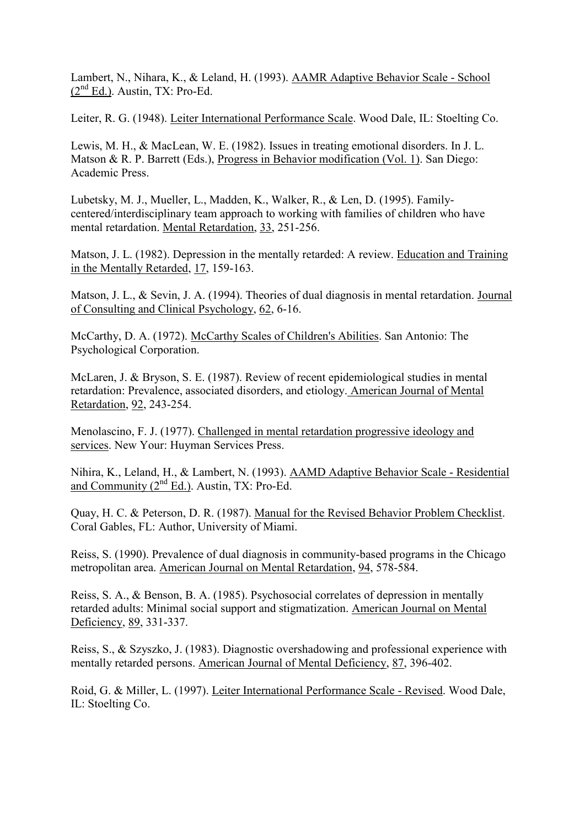Lambert, N., Nihara, K., & Leland, H. (1993). AAMR Adaptive Behavior Scale - School  $(2<sup>nd</sup> Ed.)$ . Austin, TX: Pro-Ed.

Leiter, R. G. (1948). Leiter International Performance Scale. Wood Dale, IL: Stoelting Co.

Lewis, M. H., & MacLean, W. E. (1982). Issues in treating emotional disorders. In J. L. Matson & R. P. Barrett (Eds.), Progress in Behavior modification (Vol. 1). San Diego: Academic Press.

Lubetsky, M. J., Mueller, L., Madden, K., Walker, R., & Len, D. (1995). Familycentered/interdisciplinary team approach to working with families of children who have mental retardation. Mental Retardation, 33, 251-256.

Matson, J. L. (1982). Depression in the mentally retarded: A review. Education and Training in the Mentally Retarded, 17, 159-163.

Matson, J. L., & Sevin, J. A. (1994). Theories of dual diagnosis in mental retardation. Journal of Consulting and Clinical Psychology, 62, 6-16.

McCarthy, D. A. (1972). McCarthy Scales of Children's Abilities. San Antonio: The Psychological Corporation.

McLaren, J. & Bryson, S. E. (1987). Review of recent epidemiological studies in mental retardation: Prevalence, associated disorders, and etiology. American Journal of Mental Retardation, 92, 243-254.

Menolascino, F. J. (1977). Challenged in mental retardation progressive ideology and services. New Your: Huyman Services Press.

Nihira, K., Leland, H., & Lambert, N. (1993). AAMD Adaptive Behavior Scale - Residential and Community (2<sup>nd</sup> Ed.). Austin, TX: Pro-Ed.

Quay, H. C. & Peterson, D. R. (1987). Manual for the Revised Behavior Problem Checklist. Coral Gables, FL: Author, University of Miami.

Reiss, S. (1990). Prevalence of dual diagnosis in community-based programs in the Chicago metropolitan area. American Journal on Mental Retardation, 94, 578-584.

Reiss, S. A., & Benson, B. A. (1985). Psychosocial correlates of depression in mentally retarded adults: Minimal social support and stigmatization. American Journal on Mental Deficiency, 89, 331-337.

Reiss, S., & Szyszko, J. (1983). Diagnostic overshadowing and professional experience with mentally retarded persons. American Journal of Mental Deficiency, 87, 396-402.

Roid, G. & Miller, L. (1997). Leiter International Performance Scale - Revised. Wood Dale, IL: Stoelting Co.